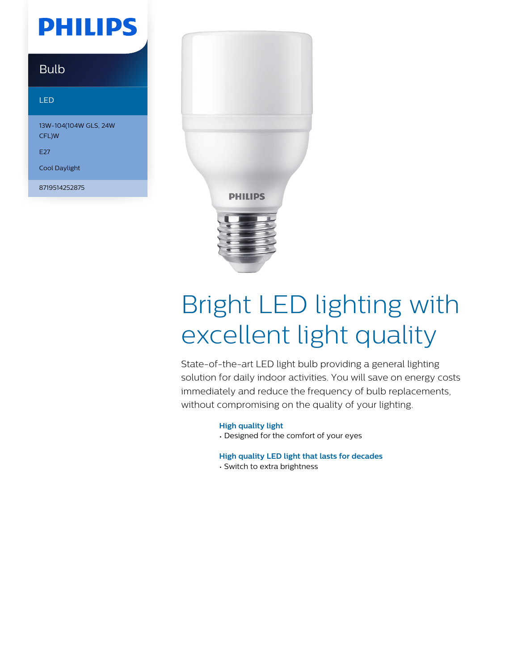# **PHILIPS**

### Bulb

#### LED

13W-104(104W GLS, 24W CFL)W

#### E27

Cool Daylight

8719514252875



# Bright LED lighting with excellent light quality

State-of-the-art LED light bulb providing a general lighting solution for daily indoor activities. You will save on energy costs immediately and reduce the frequency of bulb replacements, without compromising on the quality of your lighting.

#### **High quality light**

• Designed for the comfort of your eyes

**High quality LED light that lasts for decades**

• Switch to extra brightness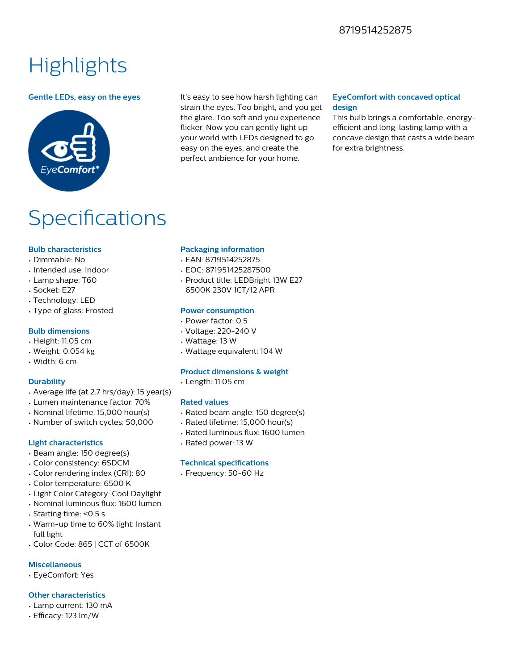#### 8719514252875

## **Highlights**



**Gentle LEDs, easy on the eyes** It's easy to see how harsh lighting can strain the eyes. Too bright, and you get the glare. Too soft and you experience flicker. Now you can gently light up your world with LEDs designed to go easy on the eyes, and create the perfect ambience for your home.

#### **EyeComfort with concaved optical design**

This bulb brings a comfortable, energyefficient and long-lasting lamp with a concave design that casts a wide beam for extra brightness.

## Specifications

#### **Bulb characteristics**

- Dimmable: No
- Intended use: Indoor
- Lamp shape: T60
- Socket: E27
- Technology: LED
- Type of glass: Frosted

#### **Bulb dimensions**

- Height: 11.05 cm
- Weight: 0.054 kg
- Width: 6 cm

#### **Durability**

- Average life (at 2.7 hrs/day): 15 year(s)
- Lumen maintenance factor: 70%
- Nominal lifetime: 15,000 hour(s)
- Number of switch cycles: 50,000

#### **Light characteristics**

- Beam angle: 150 degree(s)
- Color consistency: 6SDCM
- Color rendering index (CRI): 80
- Color temperature: 6500 K
- Light Color Category: Cool Daylight
- Nominal luminous flux: 1600 lumen
- Starting time: <0.5 s
- Warm-up time to 60% light: Instant full light
- Color Code: 865 | CCT of 6500K

#### **Miscellaneous**

• EyeComfort: Yes

#### **Other characteristics**

- Lamp current: 130 mA
- Efficacy: 123 lm/W

#### **Packaging information**

- EAN: 8719514252875
- EOC: 871951425287500
- Product title: LEDBright 13W E27 6500K 230V 1CT/12 APR

#### **Power consumption**

- Power factor: 0.5
- Voltage: 220-240 V
- Wattage: 13 W
- Wattage equivalent: 104 W

#### **Product dimensions & weight**

• Length: 11.05 cm

#### **Rated values**

- Rated beam angle: 150 degree(s)
- Rated lifetime: 15,000 hour(s)
- Rated luminous flux: 1600 lumen
- Rated power: 13 W

#### **Technical specifications**

• Frequency: 50-60 Hz